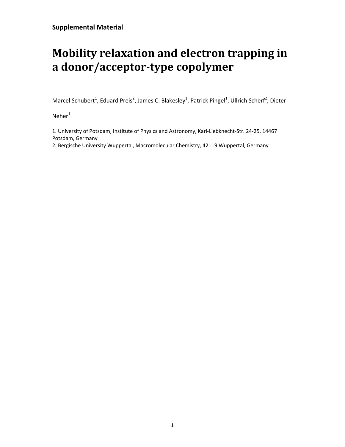## **Mobility relaxation and electron trapping in a donor/acceptor-type copolymer**

Marcel Schubert<sup>1</sup>, Eduard Preis<sup>2</sup>, James C. Blakesley<sup>1</sup>, Patrick Pingel<sup>1</sup>, Ullrich Scherf<sup>2</sup>, Dieter

 $N$ eher $1$ 

1. University of Potsdam, Institute of Physics and Astronomy, Karl-Liebknecht-Str. 24-25, 14467 Potsdam, Germany

2. Bergische University Wuppertal, Macromolecular Chemistry, 42119 Wuppertal, Germany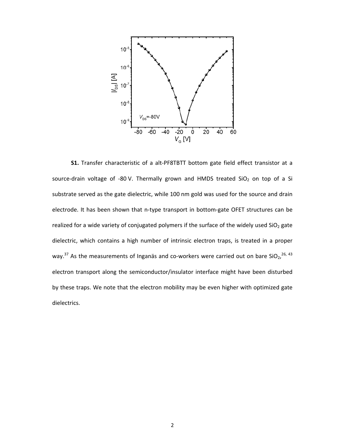

**S1.** Transfer characteristic of a alt-PF8TBTT bottom gate field effect transistor at a source-drain voltage of -80 V. Thermally grown and HMDS treated  $SiO<sub>2</sub>$  on top of a Si substrate served as the gate dielectric, while 100 nm gold was used for the source and drain electrode. It has been shown that n-type transport in bottom-gate OFET structures can be realized for a wide variety of conjugated polymers if the surface of the widely used  $SiO<sub>2</sub>$  gate dielectric, which contains a high number of intrinsic electron traps, is treated in a proper way.<sup>37</sup> As the measurements of Inganäs and co-workers were carried out on bare SiO<sub>2</sub>,<sup>26, 43</sup> electron transport along the semiconductor/insulator interface might have been disturbed by these traps. We note that the electron mobility may be even higher with optimized gate dielectrics.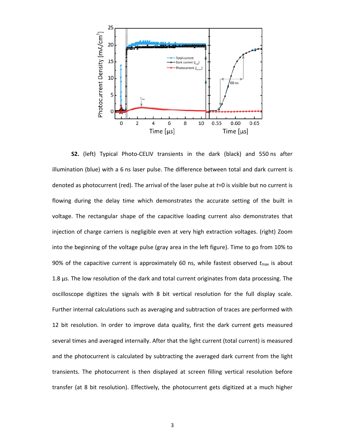

**S2.** (left) Typical Photo-CELIV transients in the dark (black) and 550 ns after illumination (blue) with a 6 ns laser pulse. The difference between total and dark current is denoted as photocurrent (red). The arrival of the laser pulse at *t*=0 is visible but no current is flowing during the delay time which demonstrates the accurate setting of the built in voltage. The rectangular shape of the capacitive loading current also demonstrates that injection of charge carriers is negligible even at very high extraction voltages. (right) Zoom into the beginning of the voltage pulse (gray area in the left figure). Time to go from 10% to 90% of the capacitive current is approximately 60 ns, while fastest observed  $t_{\text{max}}$  is about 1.8 µs. The low resolution of the dark and total current originates from data processing. The oscilloscope digitizes the signals with 8 bit vertical resolution for the full display scale. Further internal calculations such as averaging and subtraction of traces are performed with 12 bit resolution. In order to improve data quality, first the dark current gets measured several times and averaged internally. After that the light current (total current) is measured and the photocurrent is calculated by subtracting the averaged dark current from the light transients. The photocurrent is then displayed at screen filling vertical resolution before transfer (at 8 bit resolution). Effectively, the photocurrent gets digitized at a much higher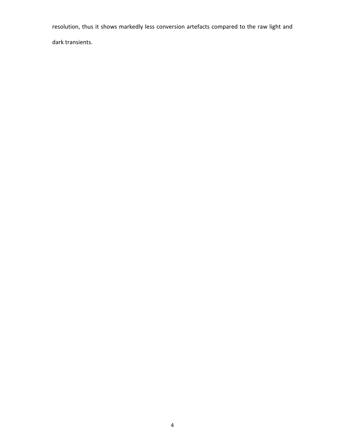resolution, thus it shows markedly less conversion artefacts compared to the raw light and

dark transients.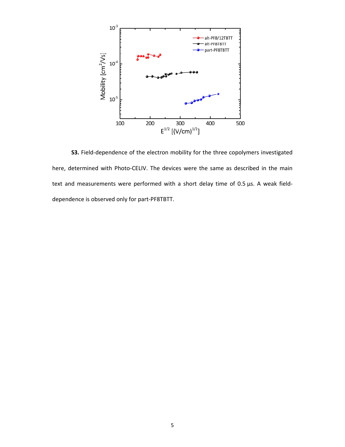

**S3.** Field-dependence of the electron mobility for the three copolymers investigated here, determined with Photo-CELIV. The devices were the same as described in the main text and measurements were performed with a short delay time of 0.5 µs. A weak fielddependence is observed only for part-PF8TBTT.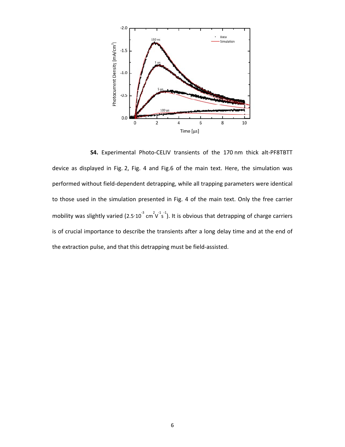

**S4.** Experimental Photo-CELIV transients of the 170 nm thick alt-PF8TBTT device as displayed in Fig. 2, Fig. 4 and Fig.6 of the main text. Here, the simulation was performed without field-dependent detrapping, while all trapping parameters were identical to those used in the simulation presented in Fig. 4 of the main text. Only the free carrier mobility was slightly varied (2.5 $\cdot$ 10<sup>3</sup> cm<sup>2</sup> $\sqrt{15}$ <sup>-1</sup>). It is obvious that detrapping of charge carriers is of crucial importance to describe the transients after a long delay time and at the end of the extraction pulse, and that this detrapping must be field-assisted.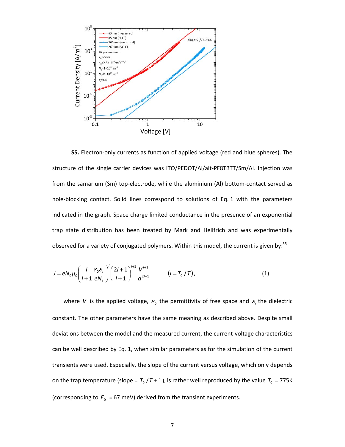

**S5.** Electron-only currents as function of applied voltage (red and blue spheres). The structure of the single carrier devices was ITO/PEDOT/Al/alt-PF8TBTT/Sm/Al. Injection was from the samarium (Sm) top-electrode, while the aluminium (Al) bottom-contact served as hole-blocking contact. Solid lines correspond to solutions of Eq. 1 with the parameters indicated in the graph. Space charge limited conductance in the presence of an exponential trap state distribution has been treated by Mark and Hellfrich and was experimentally observed for a variety of conjugated polymers. Within this model, the current is given by:<sup>55</sup>

$$
J = eN_0\mu_0 \left(\frac{l}{l+1} \frac{\varepsilon_0 \varepsilon_r}{eN_t}\right)' \left(\frac{2l+1}{l+1}\right)^{l+1} \frac{V^{l+1}}{d^{2l+1}} \qquad (l = T_0/T), \qquad (1)
$$

where *V* is the applied voltage,  $\varepsilon_0$  the permittivity of free space and  $\varepsilon_r$  the dielectric constant. The other parameters have the same meaning as described above. Despite small deviations between the model and the measured current, the current-voltage characteristics can be well described by Eq. 1, when similar parameters as for the simulation of the current transients were used. Especially, the slope of the current versus voltage, which only depends on the trap temperature (slope =  $T_0 / T + 1$ ), is rather well reproduced by the value  $T_0$  = 775K (corresponding to  $E_0 = 67$  meV) derived from the transient experiments.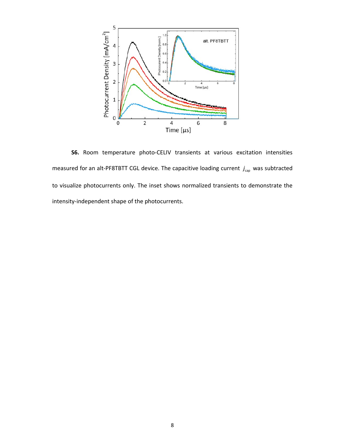

**S6.** Room temperature photo-CELIV transients at various excitation intensities measured for an alt-PF8TBTT CGL device. The capacitive loading current  $j_{\text{cap}}$  was subtracted to visualize photocurrents only. The inset shows normalized transients to demonstrate the intensity-independent shape of the photocurrents.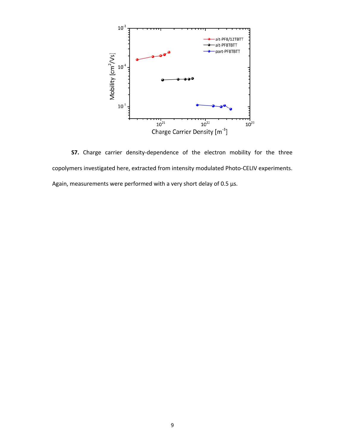

**S7.** Charge carrier density-dependence of the electron mobility for the three copolymers investigated here, extracted from intensity modulated Photo-CELIV experiments. Again, measurements were performed with a very short delay of 0.5  $\mu$ s.